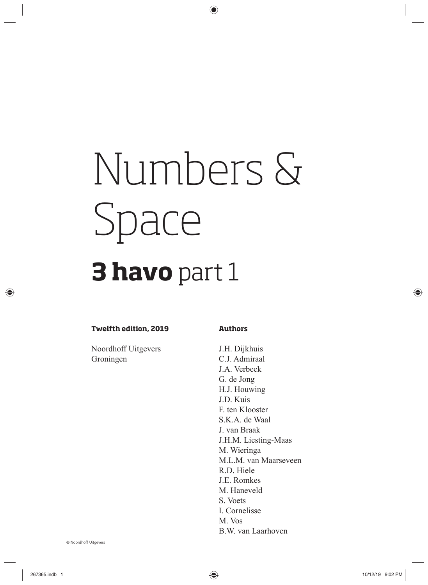# Numbers & Space

## **3 havo** part 1

#### **Twelfth edition, 2019**

Noordhoff Uitgevers Groningen

#### **Authors**

J.H. Dijkhuis C.J. Admiraal J.A. Verbeek G. de Jong H.J. Houwing J.D. Kuis F. ten Klooster S.K.A. de Waal J. van Braak J.H.M. Liesting-Maas M. Wieringa M.L.M. van Maarseveen R.D. Hiele J.E. Romkes M. Haneveld S. Voets I. Cornelisse M. Vos B.W. van Laarhoven